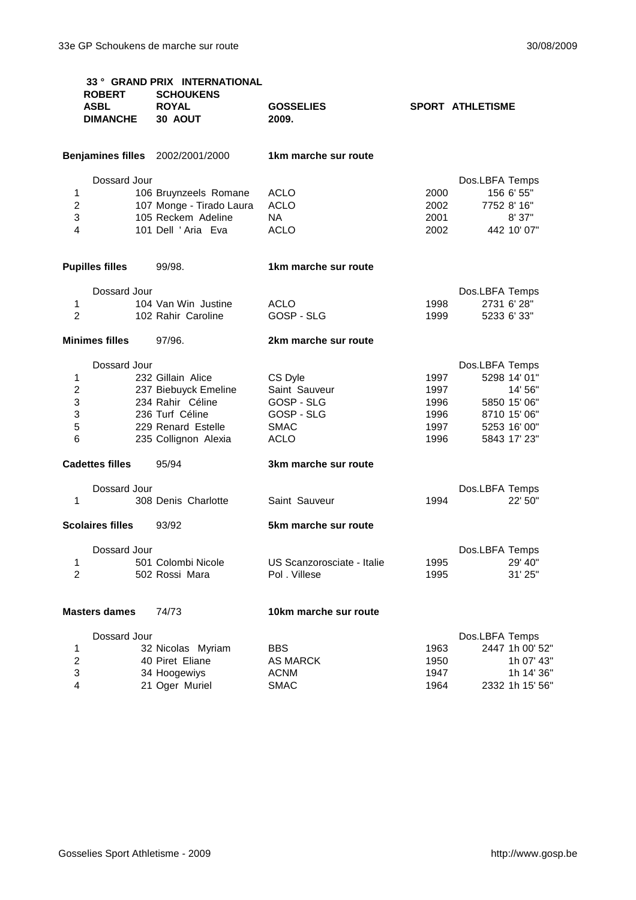|                                         | <b>ROBERT</b><br><b>ASBL</b><br><b>DIMANCHE</b> | 33° GRAND PRIX INTERNATIONAL<br><b>SCHOUKENS</b><br><b>ROYAL</b><br>30 AOUT | <b>GOSSELIES</b><br>2009.  |              | <b>SPORT ATHLETISME</b>                     |  |
|-----------------------------------------|-------------------------------------------------|-----------------------------------------------------------------------------|----------------------------|--------------|---------------------------------------------|--|
| <b>Benjamines filles</b> 2002/2001/2000 |                                                 |                                                                             | 1km marche sur route       |              |                                             |  |
| 1<br>$\boldsymbol{2}$                   | Dossard Jour                                    | 106 Bruynzeels Romane<br>107 Monge - Tirado Laura                           | <b>ACLO</b><br><b>ACLO</b> | 2000<br>2002 | Dos.LBFA Temps<br>156 6' 55"<br>7752 8' 16" |  |
| 3<br>4                                  |                                                 | 105 Reckem Adeline<br>101 Dell 'Aria Eva                                    | NA.<br><b>ACLO</b>         | 2001<br>2002 | 8' 37"<br>442 10' 07"                       |  |
|                                         | <b>Pupilles filles</b>                          | 99/98.                                                                      | 1km marche sur route       |              |                                             |  |
|                                         | Dossard Jour                                    |                                                                             |                            |              | Dos.LBFA Temps                              |  |
| 1                                       |                                                 | 104 Van Win Justine                                                         | <b>ACLO</b>                | 1998         | 2731 6' 28"                                 |  |
| $\overline{2}$                          |                                                 | 102 Rahir Caroline                                                          | GOSP - SLG                 | 1999         | 5233 6' 33"                                 |  |
|                                         | <b>Minimes filles</b>                           | 97/96.                                                                      | 2km marche sur route       |              |                                             |  |
|                                         | Dossard Jour                                    |                                                                             |                            |              | Dos.LBFA Temps                              |  |
| 1                                       |                                                 | 232 Gillain Alice                                                           | CS Dyle                    | 1997         | 5298 14' 01"                                |  |
| $\overline{c}$                          |                                                 | 237 Biebuyck Emeline                                                        | Saint Sauveur              | 1997         | 14' 56"                                     |  |
| 3                                       |                                                 | 234 Rahir Céline                                                            | GOSP - SLG                 | 1996         | 5850 15' 06"                                |  |
| 3                                       |                                                 | 236 Turf Céline                                                             | GOSP - SLG                 | 1996         | 8710 15' 06"                                |  |
| 5                                       |                                                 | 229 Renard Estelle                                                          | <b>SMAC</b>                | 1997         | 5253 16' 00"                                |  |
| $6\phantom{1}6$                         |                                                 | 235 Collignon Alexia                                                        | <b>ACLO</b>                | 1996         | 5843 17' 23"                                |  |
| <b>Cadettes filles</b>                  |                                                 | 95/94                                                                       | 3km marche sur route       |              |                                             |  |
| 1                                       | Dossard Jour                                    | 308 Denis Charlotte                                                         |                            | 1994         | Dos.LBFA Temps<br>22' 50"                   |  |
|                                         |                                                 |                                                                             | Saint Sauveur              |              |                                             |  |
|                                         | <b>Scolaires filles</b>                         | 93/92                                                                       | 5km marche sur route       |              |                                             |  |
|                                         | Dossard Jour                                    |                                                                             |                            |              | Dos.LBFA Temps                              |  |
| 1                                       |                                                 | 501 Colombi Nicole                                                          | US Scanzorosciate - Italie | 1995         | 29' 40"                                     |  |
| $\overline{c}$                          |                                                 | 502 Rossi Mara                                                              | Pol. Villese               | 1995         | 31' 25"                                     |  |
| <b>Masters dames</b>                    |                                                 | 74/73                                                                       | 10km marche sur route      |              |                                             |  |
|                                         | Dossard Jour                                    |                                                                             |                            |              | Dos.LBFA Temps                              |  |
| 1                                       |                                                 | 32 Nicolas Myriam                                                           | <b>BBS</b>                 | 1963         | 2447 1h 00' 52"                             |  |
| $\boldsymbol{2}$                        |                                                 | 40 Piret Eliane                                                             | <b>AS MARCK</b>            | 1950         | 1h 07' 43"                                  |  |
| $\ensuremath{\mathsf{3}}$               |                                                 | 34 Hoogewiys                                                                | <b>ACNM</b>                | 1947         | 1h 14' 36"                                  |  |
| 4                                       |                                                 | 21 Oger Muriel                                                              | <b>SMAC</b>                | 1964         | 2332 1h 15' 56"                             |  |